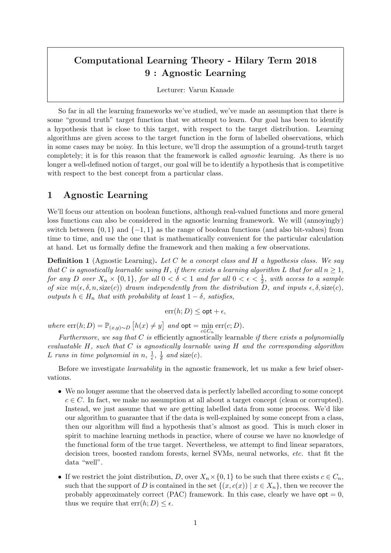# Computational Learning Theory - Hilary Term 2018 9 : Agnostic Learning

Lecturer: Varun Kanade

So far in all the learning frameworks we've studied, we've made an assumption that there is some "ground truth" target function that we attempt to learn. Our goal has been to identify a hypothesis that is close to this target, with respect to the target distribution. Learning algorithms are given access to the target function in the form of labelled observations, which in some cases may be noisy. In this lecture, we'll drop the assumption of a ground-truth target completely; it is for this reason that the framework is called agnostic learning. As there is no longer a well-defined notion of target, our goal will be to identify a hypothesis that is competitive with respect to the best concept from a particular class.

# 1 Agnostic Learning

We'll focus our attention on boolean functions, although real-valued functions and more general loss functions can also be considered in the agnostic learning framework. We will (annoyingly) switch between  $\{0, 1\}$  and  $\{-1, 1\}$  as the range of boolean functions (and also bit-values) from time to time, and use the one that is mathematically convenient for the particular calculation at hand. Let us formally define the framework and then making a few observations.

**Definition 1** (Agnostic Learning). Let C be a concept class and H a hypothesis class. We say that C is agnostically learnable using H, if there exists a learning algorithm L that for all  $n \geq 1$ , for any D over  $X_n \times \{0,1\}$ , for all  $0 < \delta < 1$  and for all  $0 < \epsilon < \frac{1}{2}$ , with access to a sample of size  $m(\epsilon, \delta, n, \text{size}(c))$  drawn independently from the distribution D, and inputs  $\epsilon, \delta, \text{size}(c)$ , outputs  $h \in H_n$  that with probability at least  $1 - \delta$ , satisfies,

$$
\operatorname{err}(h;D) \le \operatorname{opt} + \epsilon,
$$

where  $\text{err}(h; D) = \mathbb{P}_{(x,y)\sim D} [h(x) \neq y]$  and  $\text{opt} = \min_{c \in C_n} \text{err}(c; D)$ .

Furthermore, we say that  $C$  is efficiently agnostically learnable if there exists a polynomially evaluatable  $H$ , such that  $C$  is agnostically learnable using  $H$  and the corresponding algorithm L runs in time polynomial in  $n, \frac{1}{\epsilon}$  $\frac{1}{\epsilon}$ ,  $\frac{1}{\delta}$  $rac{1}{\delta}$  and size(c).

Before we investigate learnability in the agnostic framework, let us make a few brief observations.

- We no longer assume that the observed data is perfectly labelled according to some concept  $c \in C$ . In fact, we make no assumption at all about a target concept (clean or corrupted). Instead, we just assume that we are getting labelled data from some process. We'd like our algorithm to guarantee that if the data is well-explained by some concept from a class, then our algorithm will find a hypothesis that's almost as good. This is much closer in spirit to machine learning methods in practice, where of course we have no knowledge of the functional form of the true target. Nevertheless, we attempt to find linear separators, decision trees, boosted random forests, kernel SVMs, neural networks, etc. that fit the data "well".
- If we restrict the joint distribution, D, over  $X_n \times \{0,1\}$  to be such that there exists  $c \in C_n$ , such that the support of D is contained in the set  $\{(x, c(x)) | x \in X_n\}$ , then we recover the probably approximately correct (PAC) framework. In this case, clearly we have  $opt = 0$ , thus we require that  $err(h; D) \leq \epsilon$ .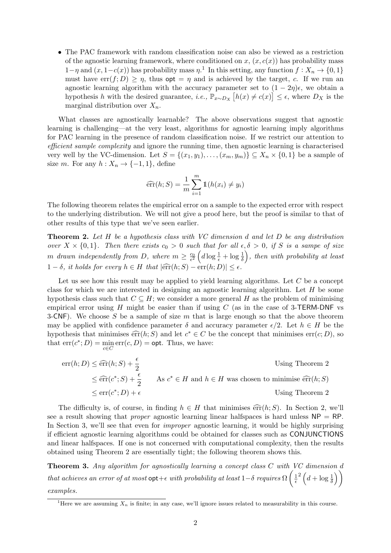• The PAC framework with random classification noise can also be viewed as a restriction of the agnostic learning framework, where conditioned on  $x, (x, c(x))$  has probability mass  $1-\eta$  and  $(x, 1-c(x))$  has probability mass  $\eta$ .<sup>1</sup> In this setting, any function  $f: X_n \to \{0,1\}$ must have  $err(f; D) \ge \eta$ , thus  $opt = \eta$  and is achieved by the target, c. If we run an agnostic learning algorithm with the accuracy parameter set to  $(1 - 2\eta)\epsilon$ , we obtain a hypothesis h with the desired guarantee, *i.e.*,  $\mathbb{P}_{x \sim D_X} [h(x) \neq c(x)] \leq \epsilon$ , where  $D_X$  is the marginal distribution over  $X_n$ .

What classes are agnostically learnable? The above observations suggest that agnostic learning is challenging—at the very least, algorithms for agnostic learning imply algorithms for PAC learning in the presence of random classification noise. If we restrict our attention to efficient sample complexity and ignore the running time, then agnostic learning is characterised very well by the VC-dimension. Let  $S = \{(x_1, y_1), \ldots, (x_m, y_m)\} \subseteq X_n \times \{0, 1\}$  be a sample of size m. For any  $h: X_n \to \{-1, 1\}$ , define

$$
\widehat{\text{err}}(h;S) = \frac{1}{m} \sum_{i=1}^{m} \mathbb{1}(h(x_i) \neq y_i)
$$

The following theorem relates the empirical error on a sample to the expected error with respect to the underlying distribution. We will not give a proof here, but the proof is similar to that of other results of this type that we've seen earlier.

**Theorem 2.** Let H be a hypothesis class with VC dimension  $d$  and let  $D$  be any distribution over  $X \times \{0,1\}$ . Then there exists  $c_0 > 0$  such that for all  $\epsilon, \delta > 0$ , if S is a sampe of size m drawn independently from D, where  $m \geq \frac{c_0}{\epsilon^2} \left( d \log \frac{1}{\epsilon} + \log \frac{1}{\delta} \right)$ , then with probability at least  $1 - \delta$ , it holds for every  $h \in H$  that  $|\widehat{\text{err}}(h; S) - \text{err}(h; D)| \leq \epsilon$ .

Let us see how this result may be applied to yield learning algorithms. Let  $C$  be a concept class for which we are interested in designing an agnostic learning algorithm. Let  $H$  be some hypothesis class such that  $C \subseteq H$ ; we consider a more general H as the problem of minimising empirical error using H might be easier than if using C (as in the case of 3-TERM-DNF vs 3-CNF). We choose S be a sample of size m that is large enough so that the above theorem may be applied with confidence parameter  $\delta$  and accuracy parameter  $\epsilon/2$ . Let  $h \in H$  be the hypothesis that minimises  $\widehat{err}(h; S)$  and let  $c^* \in C$  be the concept that minimises  $err(c; D)$ , so<br>that  $\operatorname{arr}(c^* \cdot D) = \min \operatorname{arr}(c, D) = \text{ext}$ . Thus, we have that  $err(c^*; D) = \min_{c \in C} err(c, D) = \text{opt.}$  Thus, we have:

$$
err(h; D) \le \widehat{err}(h; S) + \frac{\epsilon}{2}
$$
  
Using Theorem 2  

$$
\le \widehat{err}(c^*; S) + \frac{\epsilon}{2}
$$
As  $c^* \in H$  and  $h \in H$  was chosen to minimise  $\widehat{err}(h; S)$   

$$
\le \operatorname{err}(c^*; D) + \epsilon
$$
Using Theorem 2

The difficulty is, of course, in finding  $h \in H$  that minimises  $\widehat{err}(h; S)$ . In Section 2, we'll see a result showing that *proper* agnostic learning linear halfspaces is hard unless  $NP = RP$ . In Section 3, we'll see that even for *improper* agnostic learning, it would be highly surprising if efficient agnostic learning algorithms could be obtained for classes such as CONJUNCTIONS and linear halfspaces. If one is not concerned with computational complexity, then the results obtained using Theorem 2 are essentially tight; the following theorem shows this.

Theorem 3. Any algorithm for agnostically learning a concept class C with VC dimension d that achieves an error of at most  $\mathsf{opt}+\epsilon$  with probability at least  $1-\delta$  requires  $\Omega\left(\frac{1}{\epsilon}\right)$  $\overline{\epsilon}$  $\left( d + \log \frac{1}{\delta} \right)$ examples.

<sup>&</sup>lt;sup>1</sup>Here we are assuming  $X_n$  is finite; in any case, we'll ignore issues related to measurability in this course.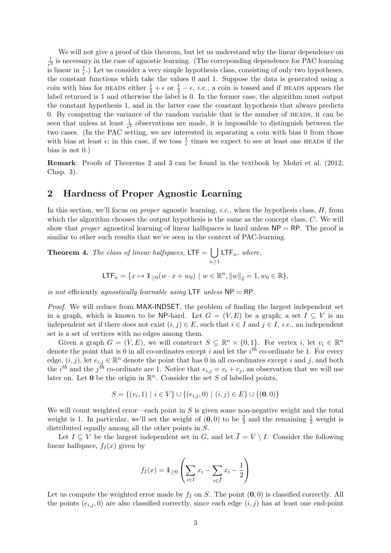We will not give a proof of this theorem, but let us understand why the linear dependence on 1  $\frac{1}{\epsilon^2}$  is necessary in the case of agnostic learning. (The correponding dependence for PAC learning is linear in  $\frac{1}{\epsilon}$ .) Let us consider a very simple hypothesis class, consisting of only two hypotheses, the constant functions which take the values 0 and 1. Suppose the data is generated using a coin with bias for HEADS either  $\frac{1}{2} + \epsilon$  or  $\frac{1}{2} - \epsilon$ , *i.e.*, a coin is tossed and if HEADS appears the label returned is 1 and otherwise the label is 0. In the former case, the algorithm must output the constant hypothesis 1, and in the latter case the constant hypothesis that always predicts 0. By computing the variance of the random variable that is the number of heads, it can be seen that unless at least  $\frac{1}{\epsilon^2}$  observations are made, it is impossible to distinguish between the two cases. (In the PAC setting, we are interested in separating a coin with bias 0 from those with bias at least  $\epsilon$ ; in this case, if we toss  $\frac{1}{\epsilon}$  times we expect to see at least one HEADS if the bias is not 0.)

Remark: Proofs of Theorems 2 and 3 can be found in the textbook by Mohri et al. (2012, Chap. 3).

## 2 Hardness of Proper Agnostic Learning

In this section, we'll focus on *proper* agnostic learning, *i.e.*, when the hypothesis class, H, from which the algorithm chooses the output hypothesis is the same as the concept class,  $C$ . We will show that *proper* agnostical learning of linear halfspaces is hard unless  $NP = RP$ . The proof is similar to other such results that we've seen in the context of PAC-learning.

**Theorem 4.** The class of linear halfspaces,  $LTF = \begin{bmatrix} \end{bmatrix}$  $n\geq 1$  $LTF_n$ , where,  $LTE = {x_2 \cdot x_1 + x_0 \cdot x_0}$ n

$$
\mathsf{LTF}_n = \{x \mapsto \mathbb{1}_{\geq 0}(w \cdot x + w_0) \mid w \in \mathbb{R}^n, \|w\|_2 = 1, w_0 \in \mathbb{R}\},\
$$

is not efficiently agnostically learnable using LTF unless  $NP = RP$ .

Proof. We will reduce from MAX-INDSET, the problem of finding the largest independent set in a graph, which is known to be NP-hard. Let  $G = (V, E)$  be a graph; a set  $I \subseteq V$  is an independent set if there does not exist  $(i, j) \in E$ , such that  $i \in I$  and  $j \in I$ , *i.e.*, an independent set is a set of vertices with no edges among them.

Given a graph  $G = (V, E)$ , we will construct  $S \subseteq \mathbb{R}^n \times \{0, 1\}$ . For vertex i, let  $v_i \in \mathbb{R}^n$ denote the point that is 0 in all co-ordinates except i and let the  $i<sup>th</sup>$  co-ordinate be 1. For every edge,  $(i, j)$ , let  $e_{i,j} \in \mathbb{R}^n$  denote the point that has 0 in all co-ordinates except i and j, and both the *i*<sup>th</sup> and the *j*<sup>th</sup> co-ordinate are 1. Notice that  $e_{i,j} = v_i + v_j$ , an observation that we will use later on. Let  $\mathbf 0$  be the origin in  $\mathbb R^n$ . Consider the set S of labelled points,

$$
S = \{(v_i, 1) \mid i \in V\} \cup \{(e_{i,j}, 0) \mid (i, j) \in E\} \cup \{(0, 0)\}
$$

We will count weighted error—each point in  $S$  is given some non-negative weight and the total weight is 1. In particular, we'll set the weight of  $(0,0)$  to be  $\frac{2}{3}$  and the remaining  $\frac{1}{3}$  weight is distributed equally among all the other points in S.

Let  $I \subseteq V$  be the largest independent set in G, and let  $\overline{I} = V \setminus I$ . Consider the following linear halfspace,  $f_I(x)$  given by

$$
f_I(x) = \mathbb{1}_{\geq 0} \left( \sum_{i \in I} x_i - \sum_{i \in \overline{I}} x_i - \frac{1}{2} \right)
$$

Let us compute the weighted error made by  $f_I$  on S. The point  $(0, 0)$  is classified correctly. All the points  $(e_{i,j}, 0)$  are also classified correctly, since each edge  $(i, j)$  has at least one end-point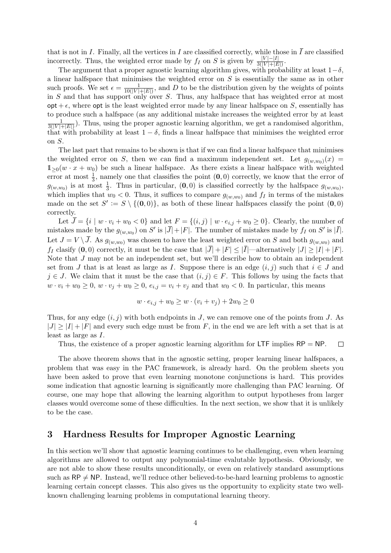that is not in I. Finally, all the vertices in I are classified correctly, while those in  $\overline{I}$  are classified incorrectly. Thus, the weighted error made by  $f_I$  on S is given by  $\frac{|V| - |I|}{3(|V| + |E|)}$ .

The argument that a proper agnostic learning algorithm gives, with probability at least  $1-\delta$ , a linear halfspace that minimises the weighted error on  $S$  is essentially the same as in other such proofs. We set  $\epsilon = \frac{1}{10(|V|)}$  $\frac{1}{10(|V|+|E|)}$ , and D to be the distribution given by the weights of points in S and that has support only over S. Thus, any halfspace that has weighted error at most  $opt + \epsilon$ , where opt is the least weighted error made by any linear halfspace on S, essentially has to produce such a halfspace (as any additional mistake increases the weighted error by at least 1  $\frac{1}{3(|V|+|E|)}$ ). Thus, using the proper agnostic learning algorithm, we get a randomised algorithm, that with probability at least  $1 - \delta$ , finds a linear halfspace that minimises the weighted error on S.

The last part that remains to be shown is that if we can find a linear halfspace that minimises the weighted error on S, then we can find a maximum independent set. Let  $g_{(w,w_0)}(x) =$  $1_{\geq 0}(w \cdot x + w_0)$  be such a linear halfspace. As there exists a linear halfspace with weighted error at most  $\frac{1}{3}$ , namely one that classifies the point  $(0,0)$  correctly, we know that the error of  $g_{(w,w_0)}$  is at most  $\frac{1}{3}$ . Thus in particular,  $(0,0)$  is classified correctly by the halfspace  $g_{(w,w_0)}$ , which implies that  $w_0 < 0$ . Thus, it suffices to compare  $g_{(w,w_0)}$  and  $f_I$  in terms of the mistakes made on the set  $S' := S \setminus \{(\mathbf{0},0)\},$  as both of these linear halfspaces classify the point  $(\mathbf{0},0)$ correctly.

Let  $\bar{J} = \{i \mid w \cdot v_i + w_0 < 0\}$  and let  $F = \{(i, j) \mid w \cdot e_{i,j} + w_0 \ge 0\}$ . Clearly, the number of mistakes made by the  $g_{(w,w_0)}$  on S' is  $|\bar{J}| + |F|$ . The number of mistakes made by  $f_I$  on S' is  $|\bar{I}|$ . Let  $J = V \setminus \overline{J}$ . As  $g_{(w,w_0)}$  was chosen to have the least weighted error on S and both  $g_{(w,w_0)}$  and  $f_I$  clasify (0, 0) correctly, it must be the case that  $|\overline{J}| + |F| \leq |\overline{I}|$ —alternatively  $|J| \geq |I| + |F|$ . Note that J may not be an independent set, but we'll describe how to obtain an independent set from J that is at least as large as I. Suppose there is an edge  $(i, j)$  such that  $i \in J$  and  $j \in J$ . We claim that it must be the case that  $(i, j) \in F$ . This follows by using the facts that  $w \cdot v_i + w_0 \geq 0$ ,  $w \cdot v_j + w_0 \geq 0$ ,  $e_{i,j} = v_i + v_j$  and that  $w_0 < 0$ . In particular, this means

$$
w \cdot e_{i,j} + w_0 \ge w \cdot (v_i + v_j) + 2w_0 \ge 0
$$

Thus, for any edge  $(i, j)$  with both endpoints in J, we can remove one of the points from J. As  $|J| \geq |I| + |F|$  and every such edge must be from F, in the end we are left with a set that is at least as large as I.

Thus, the existence of a proper agnostic learning algorithm for LTF implies  $RP = NP$ .  $\Box$ 

The above theorem shows that in the agnostic setting, proper learning linear halfspaces, a problem that was easy in the PAC framework, is already hard. On the problem sheets you have been asked to prove that even learning monotone conjunctions is hard. This provides some indication that agnostic learning is significantly more challenging than PAC learning. Of course, one may hope that allowing the learning algorithm to output hypotheses from larger classes would overcome some of these difficulties. In the next section, we show that it is unlikely to be the case.

#### 3 Hardness Results for Improper Agnostic Learning

In this section we'll show that agnostic learning continues to be challenging, even when learning algorithms are allowed to output any polynomial-time evalutable hypothesis. Obviously, we are not able to show these results unconditionally, or even on relatively standard assumptions such as  $RP \neq NP$ . Instead, we'll reduce other believed-to-be-hard learning problems to agnostic learning certain concept classes. This also gives us the opportunity to explicity state two wellknown challenging learning problems in computational learning theory.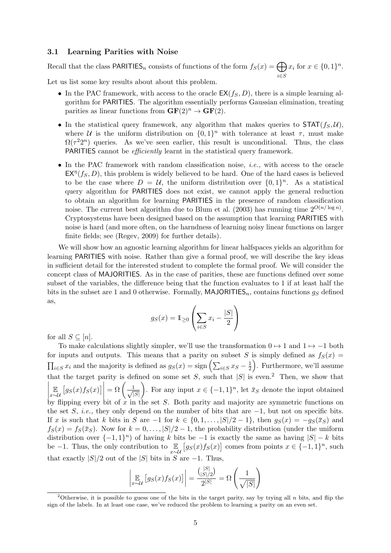#### 3.1 Learning Parities with Noise

Recall that the class PARITIES<sub>n</sub> consists of functions of the form  $f_S(x) = \bigoplus$ i∈S  $x_i$  for  $x \in \{0, 1\}^n$ . Let us list some key results about about this problem.

- In the PAC framework, with access to the oracle  $EX(f_S, D)$ , there is a simple learning algorithm for PARITIES. The algorithm essentially performs Gaussian elimination, treating parities as linear functions from  $\mathbf{GF}(2)^n \to \mathbf{GF}(2)$ .
- In the statistical query framework, any algorithm that makes queries to  $\text{STAT}(f_S, \mathcal{U}),$ where U is the uniform distribution on  $\{0,1\}^n$  with tolerance at least  $\tau$ , must make  $\Omega(\tau^2 2^n)$  queries. As we've seen earlier, this result is unconditional. Thus, the class PARITIES cannot be *efficiently* learnt in the statistical query framework.
- In the PAC framework with random classification noise, *i.e.*, with access to the oracle  $EX^{\eta}(f_S, D)$ , this problem is widely believed to be hard. One of the hard cases is believed to be the case where  $D = U$ , the uniform distribution over  $\{0,1\}^n$ . As a statistical query algorithm for PARITIES does not exist, we cannot apply the general reduction to obtain an algorithm for learning PARITIES in the presence of random classification noise. The current best algorithm due to Blum et al. (2003) has running time  $2^{O(n/\log n)}$ . Cryptosystems have been designed based on the assumption that learning PARITIES with noise is hard (and more often, on the harndness of learning noisy linear functions on larger finite fields; see (Regev, 2009) for further details).

We will show how an agnostic learning algorithm for linear halfspaces yields an algorithm for learning PARITIES with noise. Rather than give a formal proof, we will describe the key ideas in sufficient detail for the interested student to complete the formal proof. We will consider the concept class of MAJORITIES. As in the case of parities, these are functions defined over some subset of the variables, the difference being that the function evaluates to 1 if at least half the bits in the subset are 1 and 0 otherwise. Formally, MAJORITIES<sub>n</sub>, contains functions  $q<sub>S</sub>$  defined as,

$$
g_S(x) = \mathbb{1}_{\geq 0} \left( \sum_{i \in S} x_i - \frac{|S|}{2} \right)
$$

for all  $S \subset [n]$ .

To make calculations slightly simpler, we'll use the transformation  $0 \mapsto 1$  and  $1 \mapsto -1$  both for inputs and outputs. This means that a parity on subset S is simply defined as  $f_S(x)$  =  $\prod_{i \in S} x_i$  and the majority is defined as  $g_S(x) = \text{sign} \left( \sum_{i \in S} x_i - \frac{1}{2} \right)$  $(\frac{1}{2})$ . Furthermore, we'll assume that the target parity is defined on some set S, such that  $|S|$  is even.<sup>2</sup> Then, we show that  $\Big|_{x\sim i}$  $\begin{bmatrix} x \sim u \\ y \end{bmatrix}$ <br>by flipping every bit of x in the set S. Both parity and majority are symmetric functions on  $\mathbb{E}_{x \sim \mathcal{U}}\left[g_S(x)f_S(x)\right]$  $=\Omega\left(\frac{1}{\sqrt{2}}\right)$  $|S|$ ). For any input  $x \in \{-1,1\}^n$ , let  $\bar{x}_S$  denote the input obtained the set S, *i.e.*, they only depend on the number of bits that are  $-1$ , but not on specific bits. If x is such that k bits in S are  $-1$  for  $k \in \{0, 1, \ldots, |S|/2 - 1\}$ , then  $g_S(x) = -g_S(\overline{x}_S)$  and  $f_S(x) = f_S(\bar{x}_S)$ . Now for  $k = 0, \ldots, |S|/2 - 1$ , the probability distribution (under the uniform distribution over  $\{-1, 1\}^n$  of having k bits be  $-1$  is exactly the same as having  $|S| - k$  bits be −1. Thus, the only contribution to  $\mathbb{E}_{x \sim \mathcal{U}} [g_S(x) f_S(x)]$  comes from points  $x \in \{-1,1\}^n$ , such that exactly  $|S|/2$  out of the  $|S|$  bits in S are -1. Thus,

$$
\left| \mathop{\mathbb{E}}_{x \sim \mathcal{U}} \left[ g_S(x) f_S(x) \right] \right| = \frac{\binom{|S|}{|S|/2}}{2^{|S|}} = \Omega \left( \frac{1}{\sqrt{|S|}} \right)
$$

<sup>&</sup>lt;sup>2</sup>Otherwise, it is possible to guess one of the bits in the target parity, say by trying all n bits, and flip the sign of the labels. In at least one case, we've reduced the problem to learning a parity on an even set.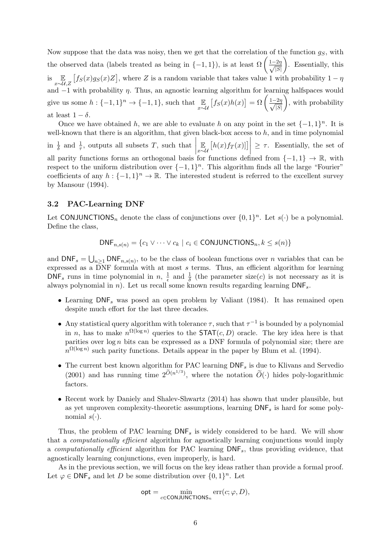Now suppose that the data was noisy, then we get that the correlation of the function  $g_S$ , with the observed data (labels treated as being in  $\{-1,1\}$ ), is at least  $\Omega\left(\frac{1-2\eta}{\sqrt{|S|}}\right)$  . Essentially, this is  $\mathbb{E}_{x \sim \mathcal{U},Z} [f_S(x)g_S(x)Z]$ , where Z is a random variable that takes value 1 with probability  $1 - \eta$ and  $-1$  with probability  $\eta$ . Thus, an agnostic learning algorithm for learning halfspaces would give us some  $h: \{-1,1\}^n \to \{-1,1\}$ , such that  $\mathbb{E}_{x \sim \mathcal{U}} [f_S(x)h(x)] = \Omega \left( \frac{1-2\eta}{\sqrt{|S|}} \right)$ ), with probability at least  $1 - \delta$ .

Once we have obtained h, we are able to evaluate h on any point in the set  $\{-1,1\}^n$ . It is well-known that there is an algorithm, that given black-box access to  $h$ , and in time polynomial in  $\frac{1}{\delta}$  and  $\frac{1}{\tau}$ , outputs all subsets T, such that E  $\mathbb{E}_{x \sim \mathcal{U}}\left[h(x)f_T(x)\right]$  $\geq \tau$ . Essentially, the set of all parity functions forms an orthogonal basis for functions defined from  $\{-1,1\} \to \mathbb{R}$ , with respect to the uniform distribution over  $\{-1,1\}^n$ . This algorithm finds all the large "Fourier" coefficients of any  $h: \{-1,1\}^n \to \mathbb{R}$ . The interested student is referred to the excellent survey by Mansour (1994).

#### 3.2 PAC-Learning DNF

Let CONJUNCTIONS<sub>n</sub> denote the class of conjunctions over  $\{0,1\}^n$ . Let  $s(\cdot)$  be a polynomial. Define the class,

$$
\mathsf{DNF}_{n,s(n)} = \{c_1 \vee \cdots \vee c_k \mid c_i \in \mathsf{CONJUNCTIONS}_{n}, k \leq s(n)\}
$$

and  $\text{DNF}_s = \bigcup_{n\geq 1} \text{DNF}_{n,s(n)}$ , to be the class of boolean functions over n variables that can be expressed as a  $\overline{D}NF$  formula with at most s terms. Thus, an efficient algorithm for learning  $\mathsf{DNF}_s$  runs in time polynomial in  $n, \frac{1}{\epsilon}$  $\frac{1}{\epsilon}$  and  $\frac{1}{\delta}$  (the parameter size(*c*) is not necessary as it is always polynomial in n). Let us recall some known results regarding learning  $\text{DNF}_s$ .

- Learning  $DNF_s$  was posed an open problem by Valiant (1984). It has remained open despite much effort for the last three decades.
- Any statistical query algorithm with tolerance  $\tau$ , such that  $\tau^{-1}$  is bounded by a polynomial in n, has to make  $n^{\Omega(\log n)}$  queries to the **STAT** $(c, D)$  oracle. The key idea here is that parities over  $log n$  bits can be expressed as a DNF formula of polynomial size; there are  $n^{\Omega(\log n)}$  such parity functions. Details appear in the paper by Blum et al. (1994).
- $\bullet~$  The current best known algorithm for PAC learning  $\mathsf{DNF}_s$  is due to Klivans and Servedio (2001) and has running time  $2^{\tilde{O}(n^{1/3})}$ , where the notation  $\tilde{O}(\cdot)$  hides poly-logarithmic factors.
- Recent work by Daniely and Shalev-Shwartz (2014) has shown that under plausible, but as yet unproven complexity-theoretic assumptions, learning  $\text{DNF}_s$  is hard for some polynomial  $s(.)$ .

Thus, the problem of PAC learning  $\mathsf{DNF}_s$  is widely considered to be hard. We will show that a computationally efficient algorithm for agnostically learning conjunctions would imply a computationally efficient algorithm for PAC learning  $\text{DNF}_s$ , thus providing evidence, that agnostically learning conjunctions, even improperly, is hard.

As in the previous section, we will focus on the key ideas rather than provide a formal proof. Let  $\varphi \in \text{DNF}_s$  and let D be some distribution over  $\{0,1\}^n$ . Let

$$
\mathsf{opt} = \min_{c \in \mathsf{CONJUNCTIONS}_n} \operatorname{err}(c; \varphi, D),
$$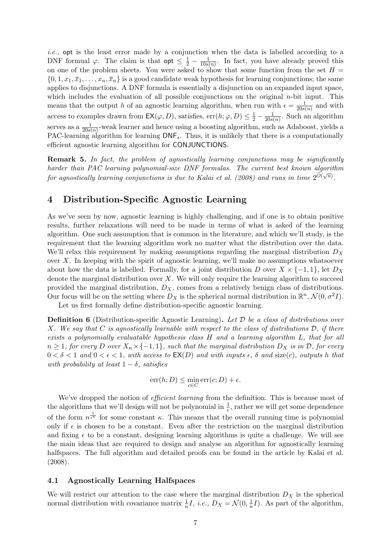i.e., opt is the least error made by a conjunction when the data is labelled according to a DNF formual  $\varphi$ . The claim is that  $\mathsf{opt} \leq \frac{1}{2} - \frac{1}{10s}$  $\frac{1}{10s(n)}$ . In fact, you have already proved this on one of the problem sheets. You were asked to show that some function from the set  $H =$  $\{0, 1, x_1, \overline{x}_1, \ldots, x_n, \overline{x}_n\}$  is a good candidate weak hypothesis for learning conjunctions; the same applies to disjunctions. A DNF formula is essentially a disjunction on an expanded input space, which includes the evaluation of all possible conjunctions on the original  $n$ -bit input. This means that the output h of an agnostic learning algorithm, when run with  $\epsilon = \frac{1}{20\epsilon}$  $\frac{1}{20s(n)}$  and with access to examples drawn from  $\mathsf{EX}(\varphi, D)$ , satisfies,  $\text{err}(h; \varphi, D) \leq \frac{1}{2} - \frac{1}{20s}$  $\frac{1}{20s(n)}$ . Such an algorithm serves as a  $\frac{1}{20s(n)}$ -weak learner and hence using a boosting algorithm, such as Adaboost, yields a PAC-learning algorithm for learning  $\mathsf{DNF}_s$ . Thus, it is unlikely that there is a computationally efficient agnostic learning algorithm for CONJUNCTIONS.

Remark 5. In fact, the problem of agnostically learning conjunctions may be significantly harder than PAC learning polynomial-size DNF formulas. The current best known algorithm for agnostically learning conjunctions is due to Kalai et al. (2008) and runs in time  $2^{\tilde{O}(\sqrt{n})}$ .

### 4 Distribution-Specific Agnostic Learning

As we've seen by now, agnostic learning is highly challenging, and if one is to obtain positive results, further relaxations will need to be made in terms of what is asked of the learning algorithm. One such assumption that is common in the literature, and which we'll study, is the requirement that the learning algorithm work no matter what the distribution over the data. We'll relax this requirement by making assumptions regarding the marginal distribution  $D_X$ over  $X$ . In keeping with the spirit of agnostic learning, we'll make no assumptions whatsoever about how the data is labelled. Formally, for a joint distribution D over  $X \times \{-1, 1\}$ , let  $D_X$ denote the marginal distribution over  $X$ . We will only require the learning algorithm to succeed provided the marginal distribution,  $D_X$ , comes from a relatively benign class of distributions. Our focus will be on the setting where  $D_X$  is the spherical normal distribution in  $\mathbb{R}^n$ ,  $\mathcal{N}(0, \sigma^2 I)$ .

Let us first formally define distribution-specific agnostic learning.

**Definition 6** (Distribution-specific Agnostic Learning). Let  $\mathcal{D}$  be a class of distributions over X. We say that C is agnostically learnable with respect to the class of distributions  $D$ , if there exists a polynomially evaluatable hypothesis class H and a learning algorithm L, that for all  $n \geq 1$ , for every D over  $X_n \times \{-1,1\}$ , such that the marginal distribution  $D_X$  is in  $\mathcal{D}$ , for every  $0 < \delta < 1$  and  $0 < \epsilon < 1$ , with access to  $EX(D)$  and with inputs  $\epsilon$ ,  $\delta$  and size(c), outputs h that with probability at least  $1 - \delta$ , satisfies

$$
err(h; D) \le \min_{c \in C} err(c; D) + \epsilon.
$$

We've dropped the notion of *efficient learning* from the definition. This is because most of the algorithms that we'll design will not be polynomial in  $\frac{1}{\epsilon}$ , rather we will get some dependence of the form  $n^{\frac{1}{\epsilon^k}}$  for some constant  $\kappa$ . This means that the overall running time is polynomial only if  $\epsilon$  is chosen to be a constant. Even after the restriction on the marginal distribution and fixing  $\epsilon$  to be a constant, designing learning algorithms is quite a challenge. We will see the main ideas that are required to design and analyse an algorithm for agnostically learning halfspaces. The full algorithm and detailed proofs can be found in the article by Kalai et al. (2008).

#### 4.1 Agnostically Learning Halfspaces

We will restrict our attention to the case where the marginal distribution  $D_X$  is the spherical normal distribution with covariance matrix  $\frac{1}{n}I$ , *i.e.*,  $D_X = \mathcal{N}(0, \frac{1}{n})$  $\frac{1}{n}I$ ). As part of the algorithm,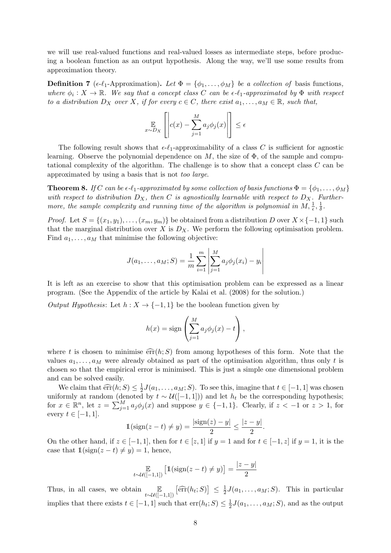we will use real-valued functions and real-valued losses as intermediate steps, before producing a boolean function as an output hypothesis. Along the way, we'll use some results from approximation theory.

**Definition 7** ( $\epsilon$ - $\ell_1$ -Approximation). Let  $\Phi = {\phi_1, \ldots, \phi_M}$  be a collection of basis functions, where  $\phi_i: X \to \mathbb{R}$ . We say that a concept class C can be  $\epsilon$ - $\ell_1$ -approximated by  $\Phi$  with respect to a distribution  $D_X$  over X, if for every  $c \in C$ , there exist  $a_1, \ldots, a_M \in \mathbb{R}$ , such that,

$$
\mathop{\mathbb{E}}_{x \sim D_X} \left[ \left| c(x) - \sum_{j=1}^{M} a_j \phi_j(x) \right| \right] \le \epsilon
$$

The following result shows that  $\epsilon$ - $\ell_1$ -approximability of a class C is sufficient for agnostic learning. Observe the polynomial dependence on M, the size of  $\Phi$ , of the sample and computational complexity of the algorithm. The challenge is to show that a concept class C can be approximated by using a basis that is not too large.

**Theorem 8.** If C can be  $\epsilon\text{-}\ell_1$ -approximated by some collection of basis functions  $\Phi = {\phi_1, \ldots, \phi_M}$ with respect to distribution  $D_X$ , then C is agnostically learnable with respect to  $D_X$ . Furthermore, the sample complexity and running time of the algorithm is polynomial in  $M, \frac{1}{\epsilon}, \frac{1}{\delta}$  $\frac{1}{\delta}$ .

*Proof.* Let  $S = \{(x_1, y_1), \ldots, (x_m, y_m)\}\)$  be obtained from a distribution D over  $X \times \{-1, 1\}$  such that the marginal distribution over  $X$  is  $D_X$ . We perform the following optimisation problem. Find  $a_1, \ldots, a_M$  that minimise the following objective:

$$
J(a_1,..., a_M; S) = \frac{1}{m} \sum_{i=1}^{m} \left| \sum_{j=1}^{M} a_j \phi_j(x_i) - y_i \right|
$$

It is left as an exercise to show that this optimisation problem can be expressed as a linear program. (See the Appendix of the article by Kalai et al. (2008) for the solution.)

*Output Hypothesis:* Let  $h: X \to \{-1, 1\}$  be the boolean function given by

$$
h(x) = \text{sign}\left(\sum_{j=1}^{M} a_j \phi_j(x) - t\right),\,
$$

where t is chosen to minimise  $\widehat{err}(h;S)$  from among hypotheses of this form. Note that the values  $a_1, \ldots, a_M$  were already obtained as part of the optimisation algorithm, thus only t is chosen so that the empirical error is minimised. This is just a simple one dimensional problem and can be solved easily.

We claim that  $\widehat{\text{err}}(h; S) \leq \frac{1}{2}$ <br>formly at random (denoted  $\frac{1}{2}J(a_1,\ldots,a_M;S)$ . To see this, imagine that  $t \in [-1,1]$  was chosen uniformly at random (denoted by  $t \sim \mathcal{U}([-1,1])$ ) and let  $h_t$  be the corresponding hypothesis; for  $x \in \mathbb{R}^n$ , let  $z = \sum_{j=1}^M a_j \phi_j(x)$  and suppose  $y \in \{-1,1\}$ . Clearly, if  $z < -1$  or  $z > 1$ , for every  $t \in [-1, 1]$ .

$$
1(\text{sign}(z-t) \neq y) = \frac{|\text{sign}(z) - y|}{2} \leq \frac{|z - y|}{2}.
$$

On the other hand, if  $z \in [-1,1]$ , then for  $t \in [z,1]$  if  $y=1$  and for  $t \in [-1,z]$  if  $y=1$ , it is the case that  $\mathbb{1}(\text{sign}(z-t) \neq y) = 1$ , hence,

$$
\mathbb{E}_{t \sim \mathcal{U}([-1,1])} \left[ \mathbb{1}(\text{sign}(z-t) \neq y) \right] = \frac{|z-y|}{2}
$$

Thus, in all cases, we obtain  $\mathbb{E}_{t \sim \mathcal{U}([-1,1])}$  $\left[\widehat{\text{err}}(h_t;S)\right] \leq \frac{1}{2}$  $\frac{1}{2}J(a_1,\ldots,a_M;S)$ . This in particular implies that there exists  $t \in [-1, 1]$  such that  $err(h_t; S) \leq \frac{1}{2}$  $\frac{1}{2}J(a_1,\ldots,a_M;S)$ , and as the output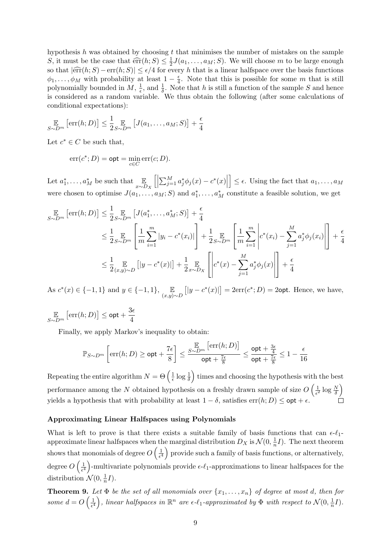hypothesis h was obtained by choosing t that minimises the number of mistakes on the sample S, it must be the case that  $\widehat{err}(h; S) \leq \frac{1}{2}$  $\frac{1}{2}J(a_1,\ldots,a_M;S)$ . We will choose m to be large enough so that  $|\widehat{\text{err}}(h;S)-\text{err}(h;S)| \leq \epsilon/4$  for every h that is a linear halfspace over the basis functions  $\phi_1, \ldots, \phi_M$  with probability at least  $1 - \frac{\epsilon}{4}$  $\frac{\epsilon}{4}$ . Note that this is possible for some m that is still polynomially bounded in  $M, \frac{1}{\epsilon}$  $\frac{1}{\epsilon}$ , and  $\frac{1}{\delta}$ . Note that h is still a function of the sample S and hence is considered as a random variable. We thus obtain the following (after some calculations of conditional expectations):

$$
\mathop{\mathbb{E}}_{S \sim D^{m}} \left[ \text{err}(h; D) \right] \leq \frac{1}{2} \mathop{\mathbb{E}}_{S \sim D^{m}} \left[ J(a_1, \dots, a_M; S) \right] + \frac{\epsilon}{4}
$$

Let  $c^* \in C$  be such that,

$$
err(c^*; D) = \mathsf{opt} = \min_{c \in C} err(c; D).
$$

Let  $a_1^*, \ldots, a_M^*$  be such that  $\mathbb{E}_{x \sim D_X}$ h    $\sum_{j=1}^{M} a_j^* \phi_j(x) - c^*(x)$  $\Big] \leq \epsilon$ . Using the fact that  $a_1, \ldots, a_M$ were chosen to optimise  $J(a_1, \ldots, a_M; S)$  and  $a_1^*, \ldots, a_M^*$  constitute a feasible solution, we get

$$
\mathbb{E}_{S \sim D^{m}} \left[ \text{err}(h; D) \right] \leq \frac{1}{2} \mathbb{E}_{S \sim D^{m}} \left[ J(a_{1}^{*}, \dots, a_{M}^{*}; S) \right] + \frac{\epsilon}{4}
$$
\n
$$
\leq \frac{1}{2} \mathbb{E}_{S \sim D^{m}} \left[ \frac{1}{m} \sum_{i=1}^{m} |y_{i} - c^{*}(x_{i})| \right] + \frac{1}{2} \mathbb{E}_{S \sim D^{m}} \left[ \frac{1}{m} \sum_{i=1}^{m} \left| c^{*}(x_{i}) - \sum_{j=1}^{M} a_{j}^{*} \phi_{j}(x_{i}) \right| \right] + \frac{\epsilon}{4}
$$
\n
$$
\leq \frac{1}{2} \mathbb{E}_{(x, y) \sim D} \left[ |y - c^{*}(x)| \right] + \frac{1}{2} \mathbb{E}_{x \sim D_{X}} \left[ \left| c^{*}(x) - \sum_{j=1}^{M} a_{j}^{*} \phi_{j}(x) \right| \right] + \frac{\epsilon}{4}
$$

As  $c^*(x) \in \{-1, 1\}$  and  $y \in \{-1, 1\}$ ,  $\mathbb{E}_{(x, y) \sim D}$  $[|y - c^*(x)|] = 2err(c^*; D) = 2$ opt. Hence, we have,

E  $\mathop{\mathbb{E}}_{S \sim D^m}\left[\text{err}(h; D)\right] \leq \mathsf{opt} + \frac{3\epsilon}{4}$ 4

Finally, we apply Markov's inequality to obtain:

$$
\mathbb{P}_{S\sim D^m}\left[\mathrm{err}(h;D)\geq \mathsf{opt} + \frac{7\epsilon}{8}\right] \leq \frac{\mathop{\mathbb{E}}_{\infty D^m}\left[\mathrm{err}(h;D)\right]}{\mathsf{opt} + \frac{7\epsilon}{8}} \leq \frac{\mathsf{opt} + \frac{3\epsilon}{4}}{\mathsf{opt} + \frac{7\epsilon}{8}} \leq 1 - \frac{\epsilon}{16}
$$

Repeating the entire algorithm  $N = \Theta\left(\frac{1}{\epsilon}\right)$  $\frac{1}{\epsilon} \log \frac{1}{\delta}$  times and choosing the hypothesis with the best performance among the N obtained hypothesis on a freshly drawn sample of size  $O\left(\frac{1}{\epsilon_0}\right)$  $rac{1}{\epsilon^2} \log \frac{N}{\delta}$ yields a hypothesis that with probability at least  $1 - \delta$ , satisfies  $err(h; D) \le$  opt +  $\epsilon$ .

#### Approximating Linear Halfspaces using Polynomials

What is left to prove is that there exists a suitable family of basis functions that can  $\epsilon$ - $\ell_1$ approximate linear halfspaces when the marginal distribution  $D_X$  is  $\mathcal{N}(0, \frac{1}{n})$  $\frac{1}{n}I$ ). The next theorem shows that monomials of degree  $O\left(\frac{1}{\epsilon^2}\right)$  $\frac{1}{\epsilon^4}$  provide such a family of basis functions, or alternatively, degree  $O\left(\frac{1}{\epsilon^4}\right)$  $\frac{1}{\epsilon^4}$ )-multivariate polynomials provide  $\epsilon$ - $\ell_1$ -approximations to linear halfspaces for the distribution  $\mathcal{N}(0, \frac{1}{n})$  $\frac{1}{n}I$ ).

**Theorem 9.** Let  $\Phi$  be the set of all monomials over  $\{x_1, \ldots, x_n\}$  of degree at most d, then for some  $d = O\left(\frac{1}{\epsilon^4}\right)$  $\frac{1}{\epsilon^4}$ ), linear halfspaces in  $\mathbb{R}^n$  are  $\epsilon$ - $\ell_1$ -approximated by  $\Phi$  with respect to  $\mathcal{N}(0, \frac{1}{n})$  $\frac{1}{n}I$ ).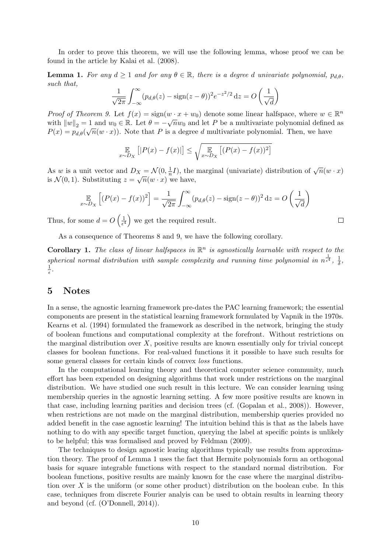In order to prove this theorem, we will use the following lemma, whose proof we can be found in the article by Kalai et al. (2008).

**Lemma 1.** For any  $d \geq 1$  and for any  $\theta \in \mathbb{R}$ , there is a degree d univariate polynomial,  $p_{d,\theta}$ , such that,

$$
\frac{1}{\sqrt{2\pi}}\int_{-\infty}^{\infty} (p_{d,\theta}(z) - \text{sign}(z-\theta))^2 e^{-z^2/2} dz = O\left(\frac{1}{\sqrt{d}}\right)
$$

Proof of Theorem 9. Let  $f(x) = \text{sign}(w \cdot x + w_0)$  denote some linear halfspace, where  $w \in \mathbb{R}^n$ with  $||w||_2 = 1$  and  $w_0 \in \mathbb{R}$ . Let  $\theta = -\sqrt{n}w_0$  and let P be a multivariate polynomial defined as  $P(x) = p_{d,\theta}(\sqrt{n}(w \cdot x))$ . Note that P is a degree d multivariate polynomial. Then, we have

$$
\mathop{\mathbb{E}}_{x \sim D_X} [|P(x) - f(x)|] \le \sqrt{\mathop{\mathbb{E}}_{x \sim D_X} [(P(x) - f(x))^2]}
$$

As w is a unit vector and  $D_X = \mathcal{N}(0, \frac{1}{n})$  $X = \mathcal{N}(0, \frac{1}{n}I)$ , the marginal (univariate) distribution of  $\sqrt{n}(w \cdot x)$ is  $\mathcal{N}(0,1)$ . Substituting  $z = \sqrt{n}(w \cdot x)$  we have,

$$
\mathop{\mathbb{E}}_{x \sim D_X} \left[ (P(x) - f(x))^2 \right] = \frac{1}{\sqrt{2\pi}} \int_{-\infty}^{\infty} (p_{d,\theta}(z) - \text{sign}(z - \theta))^2 dz = O\left(\frac{1}{\sqrt{d}}\right)
$$

 $\Box$ 

Thus, for some  $d = O\left(\frac{1}{\epsilon^2}\right)$  $\frac{1}{\epsilon^4}$  we get the required result.

As a consequence of Theorems 8 and 9, we have the following corollary.

**Corollary 1.** The class of linear halfspaces in  $\mathbb{R}^n$  is agnostically learnable with respect to the spherical normal distribution with sample complexity and running time polynomial in  $n^{\frac{1}{\epsilon^4}}$ ,  $\frac{1}{\delta}$  $\frac{1}{\delta}$ , 1  $\frac{1}{\epsilon}$  .

#### 5 Notes

In a sense, the agnostic learning framework pre-dates the PAC learning framework; the essential components are present in the statistical learning framework formulated by Vapnik in the 1970s. Kearns et al. (1994) formulated the framework as described in the network, bringing the study of boolean functions and computational complexity at the forefront. Without restrictions on the marginal distribution over  $X$ , positive results are known essentially only for trivial concept classes for boolean functions. For real-valued functions it it possible to have such results for some general classes for certain kinds of convex loss functions.

In the computational learning theory and theoretical computer science community, much effort has been expended on designing algorithms that work under restrictions on the marginal distribution. We have studied one such result in this lecture. We can consider learning using membership queries in the agnostic learning setting. A few more positive results are known in that case, including learning parities and decision trees (cf. (Gopalan et al., 2008)). However, when restrictions are not made on the marginal distribution, membership queries provided no added benefit in the case agnostic learning! The intuition behind this is that as the labels have nothing to do with any specific target function, querying the label at specific points is unlikely to be helpful; this was formalised and proved by Feldman (2009).

The techniques to design agnostic learing algorithms typically use results from approximation theory. The proof of Lemma 1 uses the fact that Hermite polynomials form an orthogonal basis for square integrable functions with respect to the standard normal distribution. For boolean functions, positive results are mainly known for the case where the marginal distribution over  $X$  is the uniform (or some other product) distribution on the boolean cube. In this case, techniques from discrete Fourier analyis can be used to obtain results in learning theory and beyond (cf. (O'Donnell, 2014)).